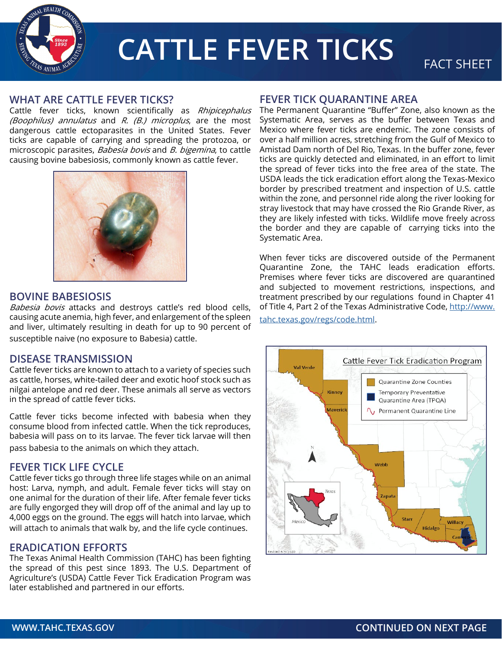

# **CATTLE FEVER TICKS**

# **WHAT ARE CATTLE FEVER TICKS?**

Cattle fever ticks, known scientifically as *Rhipicephalus* (Boophilus) annulatus and  $R$ . (B.) microplus, are the most dangerous cattle ectoparasites in the United States. Fever ticks are capable of carrying and spreading the protozoa, or microscopic parasites, *Babesia bovis* and *B. bigemina*, to cattle causing bovine babesiosis, commonly known as cattle fever.



#### **BOVINE BABESIOSIS**

Babesia bovis attacks and destroys cattle's red blood cells, causing acute anemia, high fever, and enlargement of the spleen and liver, ultimately resulting in death for up to 90 percent of susceptible naive (no exposure to Babesia) cattle.

## **DISEASE TRANSMISSION**

Cattle fever ticks are known to attach to a variety of species such as cattle, horses, white-tailed deer and exotic hoof stock such as nilgai antelope and red deer. These animals all serve as vectors in the spread of cattle fever ticks.

Cattle fever ticks become infected with babesia when they consume blood from infected cattle. When the tick reproduces, babesia will pass on to its larvae. The fever tick larvae will then pass babesia to the animals on which they attach.

# **FEVER TICK LIFE CYCLE**

Cattle fever ticks go through three life stages while on an animal host: Larva, nymph, and adult. Female fever ticks will stay on one animal for the duration of their life. After female fever ticks are fully engorged they will drop off of the animal and lay up to 4,000 eggs on the ground. The eggs will hatch into larvae, which will attach to animals that walk by, and the life cycle continues.

## **ERADICATION EFFORTS**

The Texas Animal Health Commission (TAHC) has been fighting the spread of this pest since 1893. The U.S. Department of Agriculture's (USDA) Cattle Fever Tick Eradication Program was later established and partnered in our efforts.

# **FEVER TICK QUARANTINE AREA**

The Permanent Quarantine "Buffer" Zone, also known as the Systematic Area, serves as the buffer between Texas and Mexico where fever ticks are endemic. The zone consists of over a half million acres, stretching from the Gulf of Mexico to Amistad Dam north of Del Rio, Texas. In the buffer zone, fever ticks are quickly detected and eliminated, in an effort to limit the spread of fever ticks into the free area of the state. The USDA leads the tick eradication effort along the Texas-Mexico border by prescribed treatment and inspection of U.S. cattle within the zone, and personnel ride along the river looking for stray livestock that may have crossed the Rio Grande River, as they are likely infested with ticks. Wildlife move freely across the border and they are capable of carrying ticks into the Systematic Area.

When fever ticks are discovered outside of the Permanent Quarantine Zone, the TAHC leads eradication efforts. Premises where fever ticks are discovered are quarantined and subjected to movement restrictions, inspections, and treatment prescribed by our regulations found in Chapter 41 of Title 4, Part 2 of the Texas Administrative Code, [http://www.](https://texreg.sos.state.tx.us/public/readtac$ext.ViewTAC?tac_view=4&ti=4&pt=2&ch=41&rl=Y)

[tahc.texas.gov/regs/code.html](https://texreg.sos.state.tx.us/public/readtac$ext.ViewTAC?tac_view=4&ti=4&pt=2&ch=41&rl=Y).